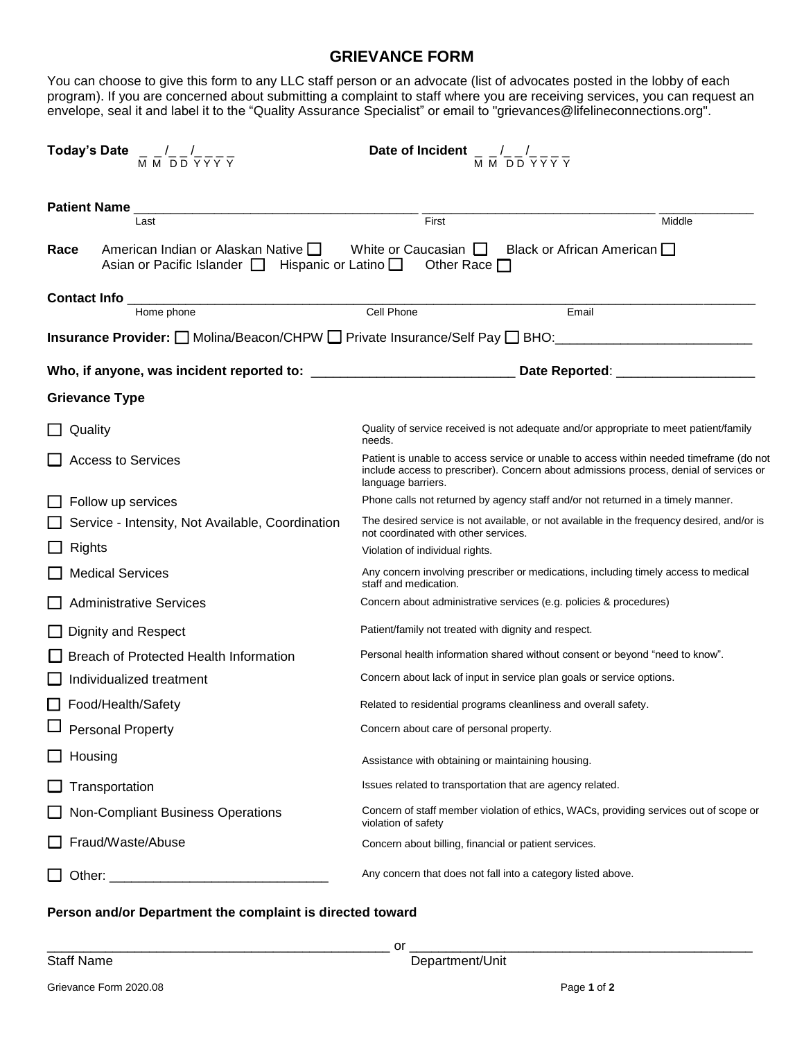## **GRIEVANCE FORM**

envelope, seal it and label it to the "Quality Assurance Specialist" or email to "grievances@lifelineconnections.org". program). If you are concerned about submitting a complaint to staff where you are receiving services, you can request an You can choose to give this form to any LLC staff person or an advocate (list of advocates posted in the lobby of each

| Today's Date $\frac{1}{M}$ $\frac{1}{M}$ $\frac{1}{D}$ $\frac{1}{D}$ $\frac{1}{Y}$ $\frac{1}{Y}$ $\frac{1}{Y}$ | Date of Incident $\frac{1}{M} \frac{1}{M} \frac{1}{D} \frac{1}{D} \frac{1}{Y} \frac{1}{Y} \frac{1}{Y}$ |                                                                                                                                                                                   |  |
|----------------------------------------------------------------------------------------------------------------|--------------------------------------------------------------------------------------------------------|-----------------------------------------------------------------------------------------------------------------------------------------------------------------------------------|--|
| <b>Patient Name</b>                                                                                            | First                                                                                                  | Middle                                                                                                                                                                            |  |
| Last                                                                                                           |                                                                                                        |                                                                                                                                                                                   |  |
| American Indian or Alaskan Native $\Box$<br>Race<br>Asian or Pacific Islander $\Box$ Hispanic or Latino $\Box$ | White or Caucasian $\Box$ Black or African American $\Box$<br>Other Race $\square$                     |                                                                                                                                                                                   |  |
| <b>Contact Info</b>                                                                                            |                                                                                                        |                                                                                                                                                                                   |  |
| Home phone                                                                                                     | Cell Phone                                                                                             | Email                                                                                                                                                                             |  |
| Insurance Provider: □ Molina/Beacon/CHPW □ Private Insurance/Self Pay □ BHO: ______________________            |                                                                                                        |                                                                                                                                                                                   |  |
|                                                                                                                |                                                                                                        | Date Reported: _____________________                                                                                                                                              |  |
| <b>Grievance Type</b>                                                                                          |                                                                                                        |                                                                                                                                                                                   |  |
| Quality                                                                                                        | needs.                                                                                                 | Quality of service received is not adequate and/or appropriate to meet patient/family                                                                                             |  |
| <b>Access to Services</b>                                                                                      | language barriers.                                                                                     | Patient is unable to access service or unable to access within needed timeframe (do not<br>include access to prescriber). Concern about admissions process, denial of services or |  |
| Follow up services                                                                                             |                                                                                                        | Phone calls not returned by agency staff and/or not returned in a timely manner.                                                                                                  |  |
| Service - Intensity, Not Available, Coordination                                                               | not coordinated with other services.                                                                   | The desired service is not available, or not available in the frequency desired, and/or is                                                                                        |  |
| Rights                                                                                                         | Violation of individual rights.                                                                        |                                                                                                                                                                                   |  |
| <b>Medical Services</b>                                                                                        | staff and medication.                                                                                  | Any concern involving prescriber or medications, including timely access to medical                                                                                               |  |
| <b>Administrative Services</b>                                                                                 | Concern about administrative services (e.g. policies & procedures)                                     |                                                                                                                                                                                   |  |
| Dignity and Respect                                                                                            | Patient/family not treated with dignity and respect.                                                   |                                                                                                                                                                                   |  |
| Breach of Protected Health Information                                                                         |                                                                                                        | Personal health information shared without consent or beyond "need to know".                                                                                                      |  |
| Individualized treatment                                                                                       | Concern about lack of input in service plan goals or service options.                                  |                                                                                                                                                                                   |  |
| Food/Health/Safety                                                                                             | Related to residential programs cleanliness and overall safety.                                        |                                                                                                                                                                                   |  |
| Personal Property                                                                                              | Concern about care of personal property.                                                               |                                                                                                                                                                                   |  |
| Housing                                                                                                        | Assistance with obtaining or maintaining housing.                                                      |                                                                                                                                                                                   |  |
| Transportation                                                                                                 | Issues related to transportation that are agency related.                                              |                                                                                                                                                                                   |  |
| Non-Compliant Business Operations                                                                              | violation of safety                                                                                    | Concern of staff member violation of ethics, WACs, providing services out of scope or                                                                                             |  |
| Fraud/Waste/Abuse                                                                                              | Concern about billing, financial or patient services.                                                  |                                                                                                                                                                                   |  |
| Other:                                                                                                         | Any concern that does not fall into a category listed above.                                           |                                                                                                                                                                                   |  |

## **Person and/or Department the complaint is directed toward**